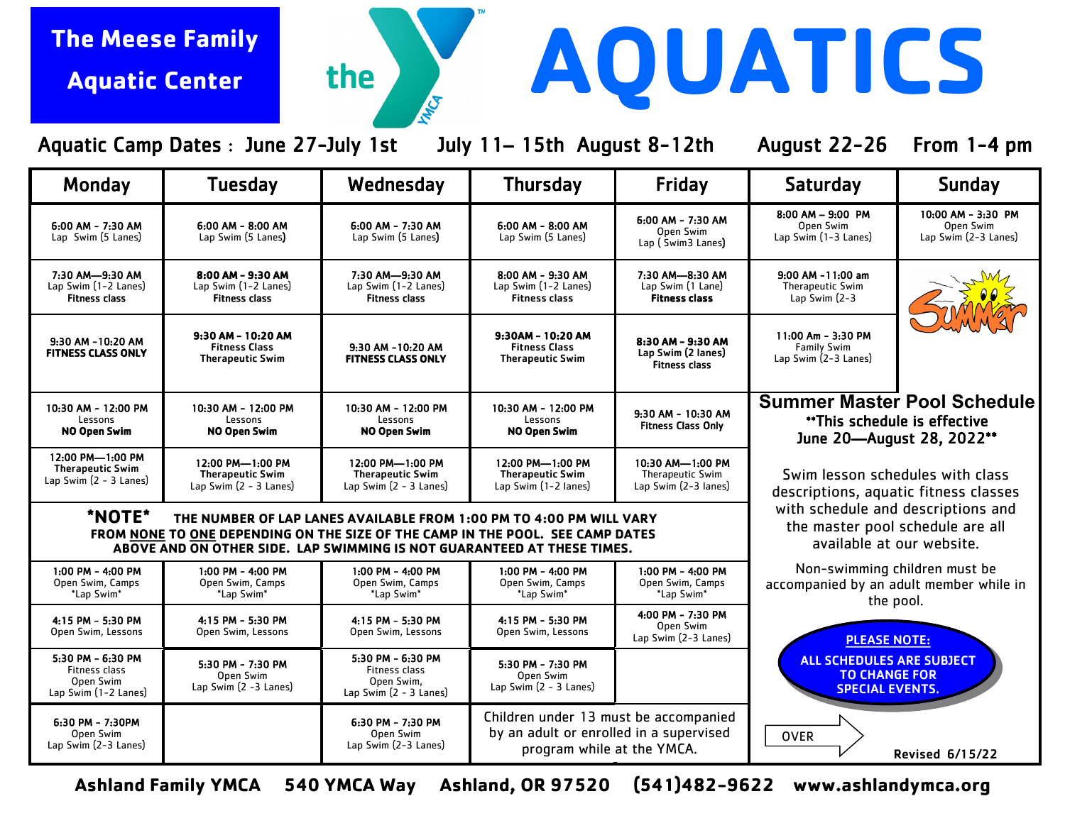## **The Meese Family Aquatic Center**

Aquatic Camp Dates : June 27-July 1st July 11– 15th August 8-12th August 22-26 From 1-4 pm

MICA

the

**AQUATICS**

| Monday                                                                         | <b>Tuesday</b>                                                                                                                                                                                                                   | Wednesday                                                                                           | <b>Thursday</b>                                                                                                | Friday                                                              | <b>Saturday</b>                                                                                                                                                               | <b>Sunday</b>                                           |  |
|--------------------------------------------------------------------------------|----------------------------------------------------------------------------------------------------------------------------------------------------------------------------------------------------------------------------------|-----------------------------------------------------------------------------------------------------|----------------------------------------------------------------------------------------------------------------|---------------------------------------------------------------------|-------------------------------------------------------------------------------------------------------------------------------------------------------------------------------|---------------------------------------------------------|--|
| 6:00 AM - 7:30 AM<br>Lap Swim (5 Lanes)                                        | 6:00 AM - 8:00 AM<br>Lap Swim (5 Lanes)                                                                                                                                                                                          | $6:00$ AM - 7:30 AM<br>Lap Swim (5 Lanes)                                                           | 6:00 AM - 8:00 AM<br>Lap Swim (5 Lanes)                                                                        | 6:00 AM - 7:30 AM<br>Open Swim<br>Lap (Swim3 Lanes)                 | $8:00$ AM $-$ 9:00 PM<br>Open Swim<br>Lap Swim (1-3 Lanes)                                                                                                                    | 10:00 AM - 3:30 PM<br>Open Swim<br>Lap Swim (2-3 Lanes) |  |
| 7:30 AM-9:30 AM<br>Lap Swim (1-2 Lanes)<br><b>Fitness class</b>                | 8:00 AM - 9:30 AM<br>Lap Swim (1-2 Lanes)<br><b>Fitness class</b>                                                                                                                                                                | 7:30 AM-9:30 AM<br>Lap Swim (1-2 Lanes)<br><b>Fitness class</b>                                     | 8:00 AM - 9:30 AM<br>Lap Swim (1-2 Lanes)<br><b>Fitness class</b>                                              | 7:30 AM-8:30 AM<br>Lap Swim (1 Lane)<br><b>Fitness class</b>        | 9:00 AM -11:00 am<br><b>Therapeutic Swim</b><br>Lap Swim $(2-3)$                                                                                                              |                                                         |  |
| 9:30 AM -10:20 AM<br><b>FITNESS CLASS ONLY</b>                                 | 9:30 AM - 10:20 AM<br><b>Fitness Class</b><br><b>Therapeutic Swim</b>                                                                                                                                                            | 9:30 AM -10:20 AM<br><b>FITNESS CLASS ONLY</b>                                                      | 9:30AM - 10:20 AM<br><b>Fitness Class</b><br><b>Therapeutic Swim</b>                                           | 8:30 AM - 9:30 AM<br>Lap Swim (2 lanes)<br><b>Fitness class</b>     | 11:00 Am - 3:30 PM<br><b>Family Swim</b><br>Lap Swim (2-3 Lanes)                                                                                                              |                                                         |  |
| 10:30 AM - 12:00 PM<br>Lessons<br>NO Open Swim                                 | 10:30 AM - 12:00 PM<br>Lessons<br><b>NO Open Swim</b>                                                                                                                                                                            | 10:30 AM - 12:00 PM<br>Lessons<br>NO Open Swim                                                      | 10:30 AM - 12:00 PM<br>Lessons<br><b>NO Open Swim</b>                                                          | 9:30 AM - 10:30 AM<br><b>Fitness Class Only</b>                     | <b>Summer Master Pool Schedule</b><br>** This schedule is effective<br>June 20-August 28, 2022**<br>Swim lesson schedules with class<br>descriptions, aquatic fitness classes |                                                         |  |
| 12:00 PM-1:00 PM<br><b>Therapeutic Swim</b><br>Lap Swim (2 - 3 Lanes)          | 12:00 PM-1:00 PM<br><b>Therapeutic Swim</b><br>Lap Swim (2 - 3 Lanes)                                                                                                                                                            | 12:00 PM-1:00 PM<br><b>Therapeutic Swim</b><br>Lap Swim (2 - 3 Lanes)                               | 12:00 PM-1:00 PM<br><b>Therapeutic Swim</b><br>Lap Swim (1-2 lanes)                                            | 10:30 AM-1:00 PM<br><b>Therapeutic Swim</b><br>Lap Swim (2-3 lanes) |                                                                                                                                                                               |                                                         |  |
| *NOTE*                                                                         | THE NUMBER OF LAP LANES AVAILABLE FROM 1:00 PM TO 4:00 PM WILL VARY<br>FROM NONE TO ONE DEPENDING ON THE SIZE OF THE CAMP IN THE POOL. SEE CAMP DATES<br>ABOVE AND ON OTHER SIDE. LAP SWIMMING IS NOT GUARANTEED AT THESE TIMES. | with schedule and descriptions and<br>the master pool schedule are all<br>available at our website. |                                                                                                                |                                                                     |                                                                                                                                                                               |                                                         |  |
| $1:00$ PM - $4:00$ PM<br>Open Swim, Camps<br>*Lap Swim*                        | 1:00 PM - 4:00 PM<br>Open Swim, Camps<br>*Lap Swim*                                                                                                                                                                              | 1:00 PM - 4:00 PM<br>Open Swim, Camps<br>*Lap Swim*                                                 | 1:00 PM - 4:00 PM<br>Open Swim, Camps<br>*Lap Swim*                                                            | 1:00 PM - 4:00 PM<br>Open Swim, Camps<br>*Lap Swim*                 | Non-swimming children must be<br>accompanied by an adult member while in<br>the pool.                                                                                         |                                                         |  |
| 4:15 PM - 5:30 PM<br>Open Swim, Lessons                                        | 4:15 PM - 5:30 PM<br>Open Swim, Lessons                                                                                                                                                                                          | 4:15 PM - 5:30 PM<br>Open Swim, Lessons                                                             | 4:15 PM - 5:30 PM<br>Open Swim, Lessons                                                                        | 4:00 PM - 7:30 PM<br>Open Swim<br>Lap Swim (2-3 Lanes)              | <b>PLEASE NOTE:</b>                                                                                                                                                           |                                                         |  |
| 5:30 PM - 6:30 PM<br><b>Fitness class</b><br>Open Swim<br>Lap Swim (1-2 Lanes) | 5:30 PM - 7:30 PM<br>Open Swim<br>Lap Swim $(2 - 3$ Lanes)                                                                                                                                                                       | 5:30 PM - 6:30 PM<br>Fitness class<br>Open Swim,<br>Lap Swim (2 - 3 Lanes)                          | 5:30 PM - 7:30 PM<br>Open Swim<br>Lap Swim (2 - 3 Lanes)                                                       |                                                                     | <b>ALL SCHEDULES ARE SUBJECT</b><br><b>TO CHANGE FOR</b><br><b>SPECIAL EVENTS.</b>                                                                                            |                                                         |  |
| $6:30$ PM - 7:30PM<br>Open Swim<br>Lap Swim (2-3 Lanes)                        |                                                                                                                                                                                                                                  | 6:30 PM - 7:30 PM<br>Open Swim<br>Lap Swim (2-3 Lanes)                                              | Children under 13 must be accompanied<br>by an adult or enrolled in a supervised<br>program while at the YMCA. |                                                                     | <b>OVER</b>                                                                                                                                                                   | <b>Revised 6/15/22</b>                                  |  |

**Ashland Family YMCA 540 YMCA Way Ashland, OR 97520 (541)482-9622 www.ashlandymca.org**